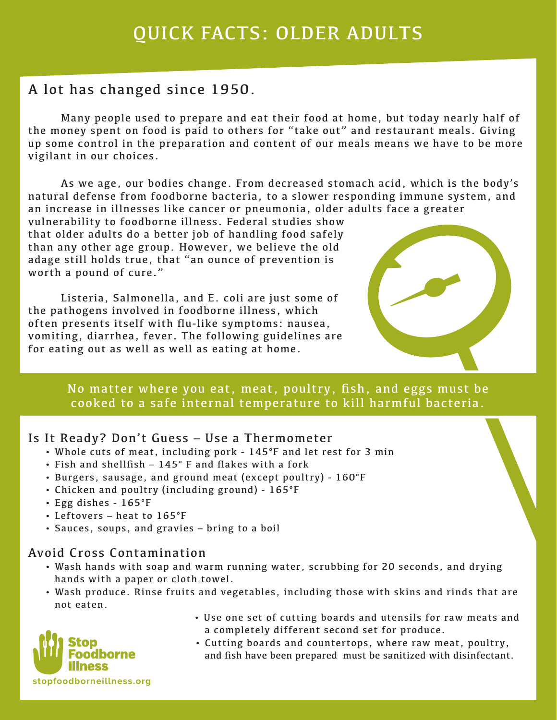## A lot has changed since 1950.

Many people used to prepare and eat their food at home, but today nearly half of the money spent on food is paid to others for "take out" and restaurant meals. Giving up some control in the preparation and content of our meals means we have to be more vigilant in our choices.

As we age, our bodies change. From decreased stomach acid, which is the body's natural defense from foodborne bacteria, to a slower responding immune system, and an increase in illnesses like cancer or pneumonia, older adults face a greater

vulnerability to foodborne illness. Federal studies show that older adults do a better job of handling food safely than any other age group. However, we believe the old adage still holds true, that "an ounce of prevention is worth a pound of cure."

 Listeria, Salmonella, and E. coli are just some of the pathogens involved in foodborne illness, which often presents itself with flu-like symptoms: nausea, vomiting, diarrhea, fever. The following guidelines are for eating out as well as well as eating at home.



No matter where you eat, meat, poultry, fish, and eggs must be cooked to a safe internal temperature to kill harmful bacteria.

#### Is It Ready? Don't Guess – Use a Thermometer

- Whole cuts of meat, including pork 145°F and let rest for 3 min
- Fish and shellfish 145° F and flakes with a fork
- Burgers, sausage, and ground meat (except poultry) 160°F
- Chicken and poultry (including ground) 165°F
- Egg dishes 165°F
- Leftovers heat to 165°F
- Sauces, soups, and gravies bring to a boil

#### Avoid Cross Contamination

- Wash hands with soap and warm running water, scrubbing for 20 seconds, and drying hands with a paper or cloth towel.
- Wash produce. Rinse fruits and vegetables, including those with skins and rinds that are not eaten.
- orne **stopfoodborneillness.org**
- Use one set of cutting boards and utensils for raw meats and a completely different second set for produce.
- Cutting boards and countertops, where raw meat, poultry, and fish have been prepared must be sanitized with disinfectant.